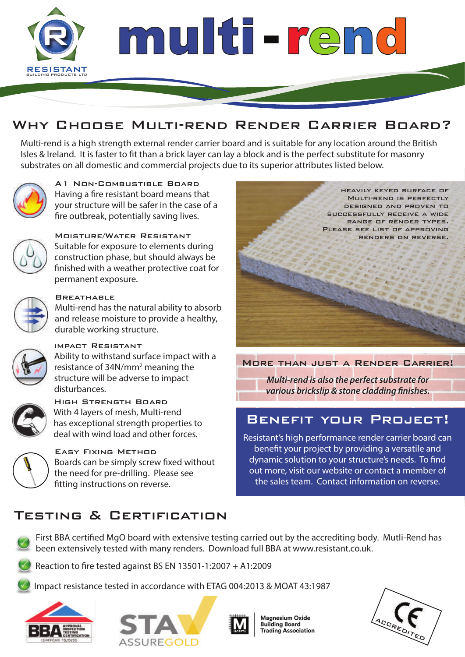

## WHY CHOOSE MULTI-REND RENDER CARRIER BOARD?

Multi-rend is a high strength external render carrier board and is suitable for any location around the British Isles & Ireland. It is faster to fit than a brick layer can lay a block and is the perfect substitute for masonry substrates on all domestic and commercial projects due to its superior attributes listed below.



A1 Non-Combustible Board Having a fire resistant board means that your structure will be safer in the case of a fire outbreak, potentially saving lives.



#### Moisture/Water Resistant

Suitable for exposure to elements during construction phase, but should always be finished with a weather protective coat for permanent exposure.



#### **BREATHABLE**

Multi-rend has the natural ability to absorb and release moisture to provide a healthy, durable working structure.



#### impact Resistant

Ability to withstand surface impact with a resistance of 34N/mm<sup>2</sup> meaning the structure will be adverse to impact disturbances.



High Strength Board With 4 layers of mesh, Multi-rend has exceptional strength properties to deal with wind load and other forces.



Easy Fixing Method Boards can be simply screw fixed without the need for pre-drilling. Please see fitting instructions on reverse.



More than just a Render Carrier!

*Multi-rend is also the perfect substrate for various brickslip & stone cladding finishes.* 

### BENEFIT YOUR PROJECT!

Resistant's high performance render carrier board can benefit your project by providing a versatile and dynamic solution to your structure's needs. To find out more, visit our website or contact a member of the sales team. Contact information on reverse.

## Testing & Certification



First BBA certified MgO board with extensive testing carried out by the accrediting body. Mutli-Rend has been extensively tested with many renders. Download full BBA at www.resistant.co.uk.

Reaction to fire tested against BS EN 13501-1:2007 + A1:2009

Impact resistance tested in accordance with ETAG 004:2013 & MOAT 43:1987







Magnesium Oxide **Building Board Trading Association**